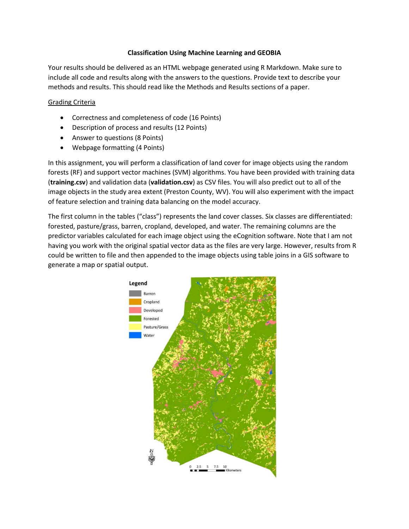## **Classification Using Machine Learning and GEOBIA**

Your results should be delivered as an HTML webpage generated using R Markdown. Make sure to include all code and results along with the answers to the questions. Provide text to describe your methods and results. This should read like the Methods and Results sections of a paper.

## Grading Criteria

- Correctness and completeness of code (16 Points)
- Description of process and results (12 Points)
- Answer to questions (8 Points)
- Webpage formatting (4 Points)

In this assignment, you will perform a classification of land cover for image objects using the random forests (RF) and support vector machines (SVM) algorithms. You have been provided with training data (**training.csv**) and validation data (**validation.csv**) as CSV files. You will also predict out to all of the image objects in the study area extent (Preston County, WV). You will also experiment with the impact of feature selection and training data balancing on the model accuracy.

The first column in the tables ("class") represents the land cover classes. Six classes are differentiated: forested, pasture/grass, barren, cropland, developed, and water. The remaining columns are the predictor variables calculated for each image object using the eCognition software. Note that I am not having you work with the original spatial vector data as the files are very large. However, results from R could be written to file and then appended to the image objects using table joins in a GIS software to generate a map or spatial output.